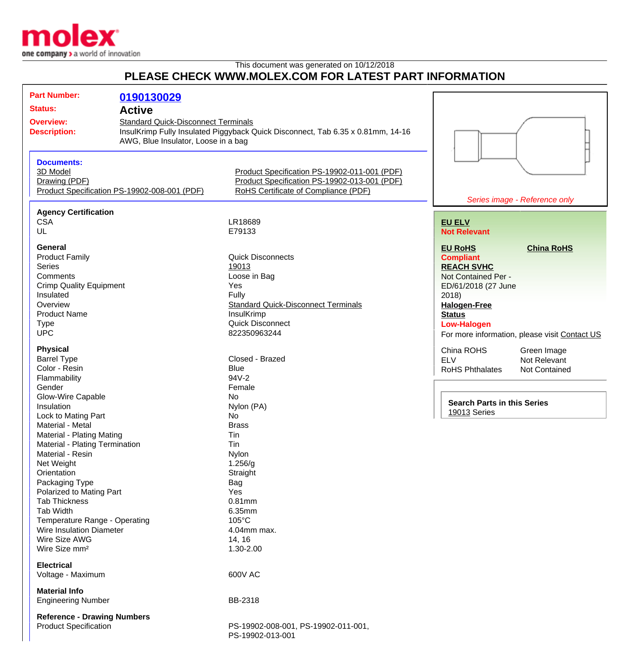

This document was generated on 10/12/2018

## **PLEASE CHECK WWW.MOLEX.COM FOR LATEST PART INFORMATION**

| <b>Part Number:</b>                | 0190130029                                   |                                                                                 |                                    |                                               |
|------------------------------------|----------------------------------------------|---------------------------------------------------------------------------------|------------------------------------|-----------------------------------------------|
| <b>Status:</b>                     | <b>Active</b>                                |                                                                                 |                                    |                                               |
|                                    |                                              |                                                                                 |                                    |                                               |
| <b>Overview:</b>                   | <b>Standard Quick-Disconnect Terminals</b>   |                                                                                 |                                    |                                               |
| <b>Description:</b>                |                                              | InsulKrimp Fully Insulated Piggyback Quick Disconnect, Tab 6.35 x 0.81mm, 14-16 |                                    |                                               |
|                                    | AWG, Blue Insulator, Loose in a bag          |                                                                                 |                                    |                                               |
|                                    |                                              |                                                                                 |                                    |                                               |
| <b>Documents:</b>                  |                                              |                                                                                 |                                    |                                               |
| 3D Model                           |                                              | Product Specification PS-19902-011-001 (PDF)                                    |                                    |                                               |
| Drawing (PDF)                      |                                              | Product Specification PS-19902-013-001 (PDF)                                    |                                    |                                               |
|                                    | Product Specification PS-19902-008-001 (PDF) | RoHS Certificate of Compliance (PDF)                                            |                                    |                                               |
|                                    |                                              |                                                                                 |                                    | Series image - Reference only                 |
|                                    |                                              |                                                                                 |                                    |                                               |
| <b>Agency Certification</b>        |                                              |                                                                                 |                                    |                                               |
| <b>CSA</b>                         |                                              | LR18689                                                                         | <b>EU ELV</b>                      |                                               |
| UL                                 |                                              | E79133                                                                          | <b>Not Relevant</b>                |                                               |
|                                    |                                              |                                                                                 |                                    |                                               |
| General                            |                                              |                                                                                 | <b>EU RoHS</b>                     | <b>China RoHS</b>                             |
| <b>Product Family</b>              |                                              | <b>Quick Disconnects</b>                                                        | <b>Compliant</b>                   |                                               |
| <b>Series</b>                      |                                              | 19013                                                                           | <b>REACH SVHC</b>                  |                                               |
| Comments                           |                                              | Loose in Bag                                                                    | Not Contained Per -                |                                               |
| <b>Crimp Quality Equipment</b>     |                                              | Yes                                                                             | ED/61/2018 (27 June                |                                               |
| Insulated                          |                                              | Fully                                                                           | 2018                               |                                               |
| Overview                           |                                              | <b>Standard Quick-Disconnect Terminals</b>                                      | <b>Halogen-Free</b>                |                                               |
| <b>Product Name</b>                |                                              | InsulKrimp                                                                      | <b>Status</b>                      |                                               |
| <b>Type</b>                        |                                              | <b>Quick Disconnect</b>                                                         | <b>Low-Halogen</b>                 |                                               |
| <b>UPC</b>                         |                                              | 822350963244                                                                    |                                    | For more information, please visit Contact US |
|                                    |                                              |                                                                                 |                                    |                                               |
| <b>Physical</b>                    |                                              |                                                                                 | China ROHS                         | Green Image                                   |
| <b>Barrel Type</b>                 |                                              | Closed - Brazed                                                                 | <b>ELV</b>                         | Not Relevant                                  |
| Color - Resin                      |                                              | <b>Blue</b>                                                                     | <b>RoHS Phthalates</b>             | <b>Not Contained</b>                          |
| Flammability                       |                                              | 94V-2                                                                           |                                    |                                               |
| Gender                             |                                              | Female                                                                          |                                    |                                               |
| Glow-Wire Capable                  |                                              | No                                                                              |                                    |                                               |
| Insulation                         |                                              | Nylon (PA)                                                                      | <b>Search Parts in this Series</b> |                                               |
|                                    |                                              | No                                                                              | <b>19013 Series</b>                |                                               |
| Lock to Mating Part                |                                              |                                                                                 |                                    |                                               |
| Material - Metal                   |                                              | <b>Brass</b>                                                                    |                                    |                                               |
| Material - Plating Mating          |                                              | Tin                                                                             |                                    |                                               |
| Material - Plating Termination     |                                              | Tin                                                                             |                                    |                                               |
| Material - Resin                   |                                              | Nylon                                                                           |                                    |                                               |
| Net Weight                         |                                              | 1.256/g                                                                         |                                    |                                               |
| Orientation                        |                                              | Straight                                                                        |                                    |                                               |
| Packaging Type                     |                                              | <b>Bag</b>                                                                      |                                    |                                               |
| Polarized to Mating Part           |                                              | Yes                                                                             |                                    |                                               |
| <b>Tab Thickness</b>               |                                              | 0.81mm                                                                          |                                    |                                               |
| Tab Width                          |                                              | 6.35mm                                                                          |                                    |                                               |
| Temperature Range - Operating      |                                              | 105°C                                                                           |                                    |                                               |
| Wire Insulation Diameter           |                                              | 4.04mm max.                                                                     |                                    |                                               |
| Wire Size AWG                      |                                              | 14, 16                                                                          |                                    |                                               |
| Wire Size mm <sup>2</sup>          |                                              | 1.30-2.00                                                                       |                                    |                                               |
|                                    |                                              |                                                                                 |                                    |                                               |
| <b>Electrical</b>                  |                                              |                                                                                 |                                    |                                               |
| Voltage - Maximum                  |                                              | 600V AC                                                                         |                                    |                                               |
|                                    |                                              |                                                                                 |                                    |                                               |
| <b>Material Info</b>               |                                              |                                                                                 |                                    |                                               |
| <b>Engineering Number</b>          |                                              | BB-2318                                                                         |                                    |                                               |
|                                    |                                              |                                                                                 |                                    |                                               |
| <b>Reference - Drawing Numbers</b> |                                              |                                                                                 |                                    |                                               |
| <b>Product Specification</b>       |                                              | PS-19902-008-001, PS-19902-011-001,                                             |                                    |                                               |
|                                    |                                              | PS-19902-013-001                                                                |                                    |                                               |
|                                    |                                              |                                                                                 |                                    |                                               |